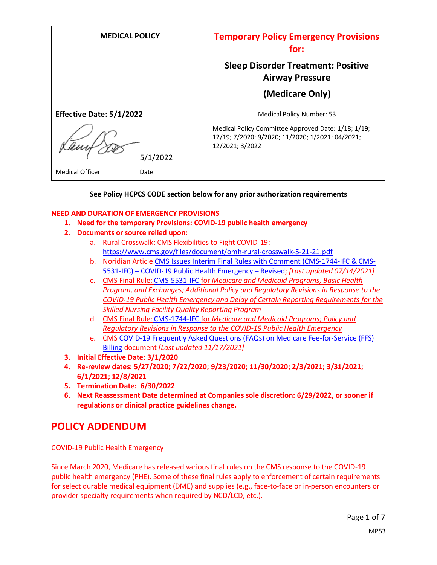| <b>MEDICAL POLICY</b>           | <b>Temporary Policy Emergency Provisions</b><br>for:                                                                       |
|---------------------------------|----------------------------------------------------------------------------------------------------------------------------|
|                                 | <b>Sleep Disorder Treatment: Positive</b><br><b>Airway Pressure</b>                                                        |
|                                 | (Medicare Only)                                                                                                            |
| <b>Effective Date: 5/1/2022</b> | Medical Policy Number: 53                                                                                                  |
| 5/1/2022                        | Medical Policy Committee Approved Date: 1/18; 1/19;<br>12/19; 7/2020; 9/2020; 11/2020; 1/2021; 04/2021;<br>12/2021; 3/2022 |
| <b>Medical Officer</b><br>Date  |                                                                                                                            |

### **See Policy HCPCS CODE section below for any prior authorization requirements**

#### **NEED AND DURATION OF EMERGENCY PROVISIONS**

- **1. Need for the temporary Provisions: COVID-19 public health emergency**
- **2. Documents or source relied upon:** 
	- a. Rural Crosswalk: CMS Flexibilities to Fight COVID-19: <https://www.cms.gov/files/document/omh-rural-crosswalk-5-21-21.pdf>
	- b. Noridian Article [CMS Issues Interim Final Rules with Comment \(CMS-1744-IFC & CMS-](https://med.noridianmedicare.com/web/jadme/policies/dmd-articles/2020/cms-issues-interim-final-rules-with-comment-cms-1744-ifc-cms-5531-ifc-covid-19-public-health-emergency-revised3)5531-IFC) – [COVID-19 Public Health Emergency](https://med.noridianmedicare.com/web/jadme/policies/dmd-articles/2020/cms-issues-interim-final-rules-with-comment-cms-1744-ifc-cms-5531-ifc-covid-19-public-health-emergency-revised3) – Revised; *[Last updated 07/14/2021]*
	- c. [CMS Final Rule: CMS-5531-IFC](https://www.cms.gov/files/document/covid-medicare-and-medicaid-ifc2.pdf) for *Medicare and Medicaid Programs, Basic Health Program, and Exchanges; Additional Policy and Regulatory Revisions in Response to the COVID-19 Public Health Emergency and Delay of Certain Reporting Requirements for the Skilled Nursing Facility Quality Reporting Program*
	- d. CMS Final Rule: [CMS-1744-IFC](https://www.cms.gov/files/document/covid-final-ifc.pdf) for *Medicare and Medicaid Programs; Policy and Regulatory Revisions in Response to the COVID-19 Public Health Emergency*
	- e. CMS [COVID-19 Frequently Asked Questions \(FAQs\) on Medicare Fee-for-Service \(FFS\)](https://www.cms.gov/files/document/03092020-covid-19-faqs-508.pdf)  [Billing](https://www.cms.gov/files/document/03092020-covid-19-faqs-508.pdf) document *[Last updated 11/17/2021]*
- **3. Initial Effective Date: 3/1/2020**
- **4. Re-review dates: 5/27/2020; 7/22/2020; 9/23/2020; 11/30/2020; 2/3/2021; 3/31/2021; 6/1/2021; 12/8/2021**
- **5. Termination Date: 6/30/2022**
- **6. Next Reassessment Date determined at Companies sole discretion: 6/29/2022, or sooner if regulations or clinical practice guidelines change.**

## **POLICY ADDENDUM**

#### COVID-19 Public Health Emergency

Since March 2020, Medicare has released various final rules on the CMS response to the COVID-19 public health emergency (PHE). Some of these final rules apply to enforcement of certain requirements for select durable medical equipment (DME) and supplies (e.g., face-to-face or in-person encounters or provider specialty requirements when required by NCD/LCD, etc.).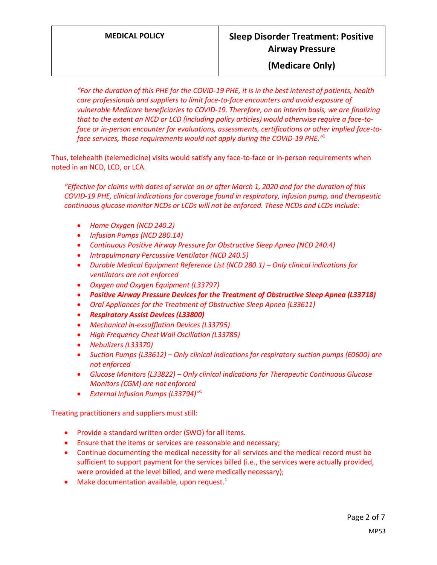# **MEDICAL POLICY Sleep Disorder Treatment: Positive Airway Pressure**

### **(Medicare Only)**

*"For the duration of this PHE for the COVID-19 PHE, it is in the best interest of patients, health care professionals and suppliers to limit face-to-face encounters and avoid exposure of vulnerable Medicare beneficiaries to COVID-19. Therefore, on an interim basis, we are finalizing that to the extent an NCD or LCD (including policy articles) would otherwise require a face-toface or in-person encounter for evaluations, assessments, certifications or other implied face-toface services, those requirements would not apply during the COVID-19 PHE."* 1

Thus, telehealth (telemedicine) visits would satisfy any face-to-face or in-person requirements when noted in an NCD, LCD, or LCA.

*"Effective for claims with dates of service on or after March 1, 2020 and for the duration of this COVID-19 PHE, clinical indications for coverage found in respiratory, infusion pump, and therapeutic continuous glucose monitor NCDs or LCDs will not be enforced. These NCDs and LCDs include:*

- *Home Oxygen (NCD 240.2)*
- *Infusion Pumps (NCD 280.14)*
- *Continuous Positive Airway Pressure for Obstructive Sleep Apnea (NCD 240.4)*
- *Intrapulmonary Percussive Ventilator (NCD 240.5)*
- *Durable Medical Equipment Reference List (NCD 280.1) Only clinical indications for ventilators are not enforced*
- *Oxygen and Oxygen Equipment (L33797)*
- *Positive Airway Pressure Devices for the Treatment of Obstructive Sleep Apnea (L33718)*
- *Oral Appliances for the Treatment of Obstructive Sleep Apnea (L33611)*
- *Respiratory Assist Devices (L33800)*
- *Mechanical In-exsufflation Devices (L33795)*
- *High Frequency Chest Wall Oscillation (L33785)*
- *Nebulizers (L33370)*
- *Suction Pumps (L33612) – Only clinical indications for respiratory suction pumps (E0600) are not enforced*
- *Glucose Monitors (L33822) – Only clinical indications for Therapeutic Continuous Glucose Monitors (CGM) are not enforced*
- *External Infusion Pumps (L33794)"* 1

Treating practitioners and suppliers must still:

- Provide a standard written order (SWO) for all items.
- Ensure that the items or services are reasonable and necessary;
- Continue documenting the medical necessity for all services and the medical record must be sufficient to support payment for the services billed (i.e., the services were actually provided, were provided at the level billed, and were medically necessary);
- Make documentation available, upon request. $1$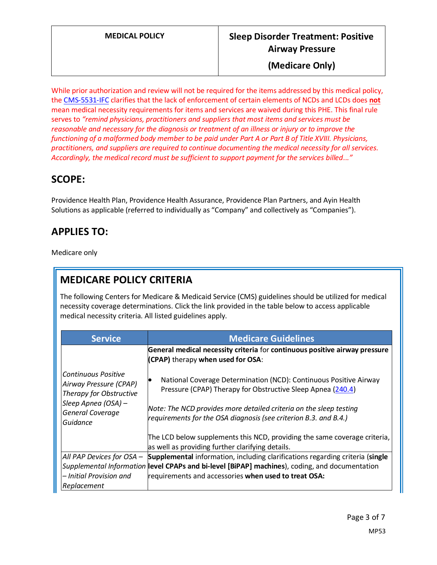While prior authorization and review will not be required for the items addressed by this medical policy, the [CMS-5531-IFC](https://www.cms.gov/files/document/covid-medicare-and-medicaid-ifc2.pdf) clarifies that the lack of enforcement of certain elements of NCDs and LCDs does **not** mean medical necessity requirements for items and services are waived during this PHE. This final rule serves to *"remind physicians, practitioners and suppliers that most items and services must be reasonable and necessary for the diagnosis or treatment of an illness or injury or to improve the functioning of a malformed body member to be paid under Part A or Part B of Title XVIII. Physicians, practitioners, and suppliers are required to continue documenting the medical necessity for all services. Accordingly, the medical record must be sufficient to support payment for the services billed..."*

# **SCOPE:**

Providence Health Plan, Providence Health Assurance, Providence Plan Partners, and Ayin Health Solutions as applicable (referred to individually as "Company" and collectively as "Companies").

# **APPLIES TO:**

Medicare only

# **MEDICARE POLICY CRITERIA**

The following Centers for Medicare & Medicaid Service (CMS) guidelines should be utilized for medical necessity coverage determinations. Click the link provided in the table below to access applicable medical necessity criteria. All listed guidelines apply.

| <b>Service</b>                                                                                                                                | <b>Medicare Guidelines</b>                                                                                                                                                                                                                                                 |
|-----------------------------------------------------------------------------------------------------------------------------------------------|----------------------------------------------------------------------------------------------------------------------------------------------------------------------------------------------------------------------------------------------------------------------------|
|                                                                                                                                               | General medical necessity criteria for continuous positive airway pressure<br>(CPAP) therapy when used for OSA:                                                                                                                                                            |
| <b>Continuous Positive</b><br>Airway Pressure (CPAP)<br>Therapy for Obstructive<br>Sleep Apnea (OSA) -<br><b>General Coverage</b><br>Guidance | National Coverage Determination (NCD): Continuous Positive Airway<br>Pressure (CPAP) Therapy for Obstructive Sleep Apnea (240.4)<br>Note: The NCD provides more detailed criteria on the sleep testing<br>requirements for the OSA diagnosis (see criterion B.3. and B.4.) |
|                                                                                                                                               | The LCD below supplements this NCD, providing the same coverage criteria,<br>as well as providing further clarifying details.                                                                                                                                              |
| All PAP Devices for OSA -                                                                                                                     | Supplemental information, including clarifications regarding criteria (single                                                                                                                                                                                              |
|                                                                                                                                               | Supplemental Information level CPAPs and bi-level [BiPAP] machines), coding, and documentation                                                                                                                                                                             |
| - Initial Provision and                                                                                                                       | requirements and accessories when used to treat OSA:                                                                                                                                                                                                                       |
| Replacement                                                                                                                                   |                                                                                                                                                                                                                                                                            |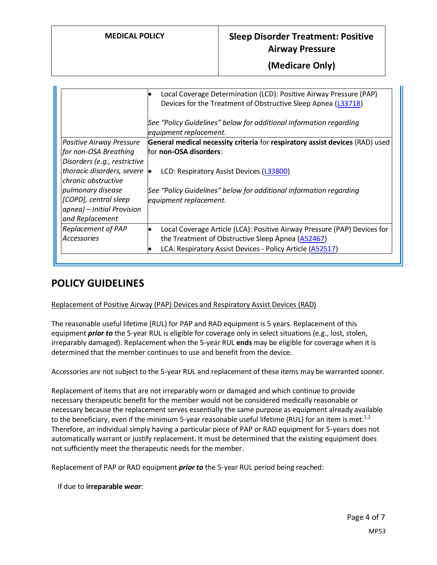|                              | Local Coverage Determination (LCD): Positive Airway Pressure (PAP)<br>$\bullet$<br>Devices for the Treatment of Obstructive Sleep Apnea (L33718) |
|------------------------------|--------------------------------------------------------------------------------------------------------------------------------------------------|
|                              | See "Policy Guidelines" below for additional information regarding<br>equipment replacement.                                                     |
| Positive Airway Pressure     | General medical necessity criteria for respiratory assist devices (RAD) used                                                                     |
| for non-OSA Breathing        | for non-OSA disorders:                                                                                                                           |
| Disorders (e.g., restrictive |                                                                                                                                                  |
| thoracic disorders, severe   | LCD: Respiratory Assist Devices (L33800)<br>'e                                                                                                   |
| chronic obstructive          |                                                                                                                                                  |
| pulmonary disease            | See "Policy Guidelines" below for additional information regarding                                                                               |
| [COPD], central sleep        | equipment replacement.                                                                                                                           |
| apnea) - Initial Provision   |                                                                                                                                                  |
| and Replacement              |                                                                                                                                                  |
| <b>Replacement of PAP</b>    | Local Coverage Article (LCA): Positive Airway Pressure (PAP) Devices for                                                                         |
| <b>Accessories</b>           | the Treatment of Obstructive Sleep Apnea (A52467)                                                                                                |
|                              | LCA: Respiratory Assist Devices - Policy Article (A52517)<br>$\bullet$                                                                           |

# **POLICY GUIDELINES**

### Replacement of Positive Airway (PAP) Devices and Respiratory Assist Devices (RAD)

The reasonable useful lifetime (RUL) for PAP and RAD equipment is 5 years. Replacement of this equipment *prior to* the 5-year RUL is eligible for coverage only in select situations (e.g., lost, stolen, irreparably damaged). Replacement when the 5-year RUL **ends** may be eligible for coverage when it is determined that the member continues to use and benefit from the device.

Accessories are not subject to the 5-year RUL and replacement of these items may be warranted sooner.

Replacement of items that are not irreparably worn or damaged and which continue to provide necessary therapeutic benefit for the member would not be considered medically reasonable or necessary because the replacement serves essentially the same purpose as equipment already available to the beneficiary, even if the minimum 5-year reasonable useful lifetime (RUL) for an item is met.<sup>1,2</sup> Therefore, an individual simply having a particular piece of PAP or RAD equipment for 5-years does not automatically warrant or justify replacement. It must be determined that the existing equipment does not sufficiently meet the therapeutic needs for the member.

Replacement of PAP or RAD equipment *prior to* the 5-year RUL period being reached:

If due to **irreparable** *wear*: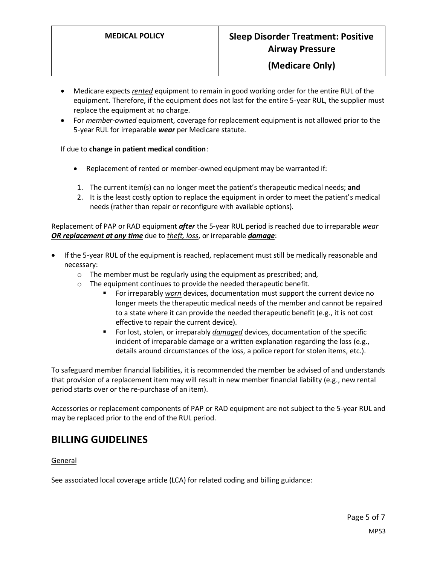- Medicare expects *rented* equipment to remain in good working order for the entire RUL of the equipment. Therefore, if the equipment does not last for the entire 5-year RUL, the supplier must replace the equipment at no charge.
- For *member-owned* equipment, coverage for replacement equipment is not allowed prior to the 5-year RUL for irreparable *wear* per Medicare statute.

If due to **change in patient medical condition**:

- Replacement of rented or member-owned equipment may be warranted if:
- 1. The current item(s) can no longer meet the patient's therapeutic medical needs; **and**
- 2. It is the least costly option to replace the equipment in order to meet the patient's medical needs (rather than repair or reconfigure with available options).

Replacement of PAP or RAD equipment *after* the 5-year RUL period is reached due to irreparable *wear OR replacement at any time* due to *theft, loss*, or irreparable *damage*:

- If the 5-year RUL of the equipment is reached, replacement must still be medically reasonable and necessary:
	- o The member must be regularly using the equipment as prescribed; and,
	- $\circ$  The equipment continues to provide the needed therapeutic benefit.
		- For irreparably *worn* devices, documentation must support the current device no longer meets the therapeutic medical needs of the member and cannot be repaired to a state where it can provide the needed therapeutic benefit (e.g., it is not cost effective to repair the current device).
		- For lost, stolen, or irreparably *damaged* devices, documentation of the specific incident of irreparable damage or a written explanation regarding the loss (e.g., details around circumstances of the loss, a police report for stolen items, etc.).

To safeguard member financial liabilities, it is recommended the member be advised of and understands that provision of a replacement item may will result in new member financial liability (e.g., new rental period starts over or the re-purchase of an item).

Accessories or replacement components of PAP or RAD equipment are not subject to the 5-year RUL and may be replaced prior to the end of the RUL period.

### **BILLING GUIDELINES**

#### General

See associated local coverage article (LCA) for related coding and billing guidance: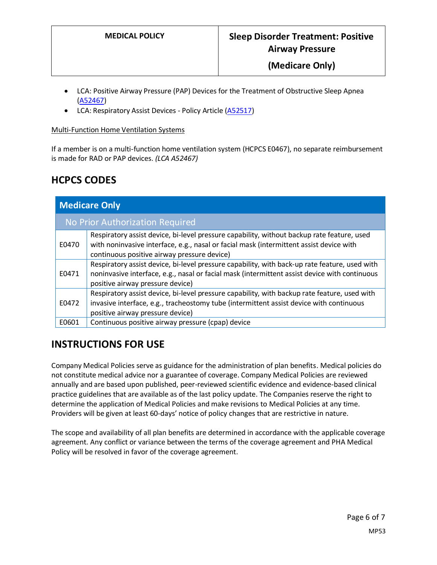- LCA: Positive Airway Pressure (PAP) Devices for the Treatment of Obstructive Sleep Apnea [\(A52467\)](https://www.cms.gov/medicare-coverage-database/details/article-details.aspx?articleId=52467)
- LCA: Respiratory Assist Devices Policy Article [\(A52517\)](https://www.cms.gov/medicare-coverage-database/details/article-details.aspx?articleId=52517)

#### Multi-Function Home Ventilation Systems

If a member is on a multi-function home ventilation system (HCPCS E0467), no separate reimbursement is made for RAD or PAP devices. *(LCA A52467)*

# **HCPCS CODES**

| <b>Medicare Only</b>            |                                                                                                                                                                                                                                      |  |
|---------------------------------|--------------------------------------------------------------------------------------------------------------------------------------------------------------------------------------------------------------------------------------|--|
| No Prior Authorization Required |                                                                                                                                                                                                                                      |  |
| E0470                           | Respiratory assist device, bi-level pressure capability, without backup rate feature, used<br>with noninvasive interface, e.g., nasal or facial mask (intermittent assist device with<br>continuous positive airway pressure device) |  |
| E0471                           | Respiratory assist device, bi-level pressure capability, with back-up rate feature, used with<br>noninvasive interface, e.g., nasal or facial mask (intermittent assist device with continuous<br>positive airway pressure device)   |  |
| E0472                           | Respiratory assist device, bi-level pressure capability, with backup rate feature, used with<br>invasive interface, e.g., tracheostomy tube (intermittent assist device with continuous<br>positive airway pressure device)          |  |
| E0601                           | Continuous positive airway pressure (cpap) device                                                                                                                                                                                    |  |

# **INSTRUCTIONS FOR USE**

Company Medical Policies serve as guidance for the administration of plan benefits. Medical policies do not constitute medical advice nor a guarantee of coverage. Company Medical Policies are reviewed annually and are based upon published, peer-reviewed scientific evidence and evidence-based clinical practice guidelines that are available as of the last policy update. The Companies reserve the right to determine the application of Medical Policies and make revisions to Medical Policies at any time. Providers will be given at least 60-days' notice of policy changes that are restrictive in nature.

The scope and availability of all plan benefits are determined in accordance with the applicable coverage agreement. Any conflict or variance between the terms of the coverage agreement and PHA Medical Policy will be resolved in favor of the coverage agreement.